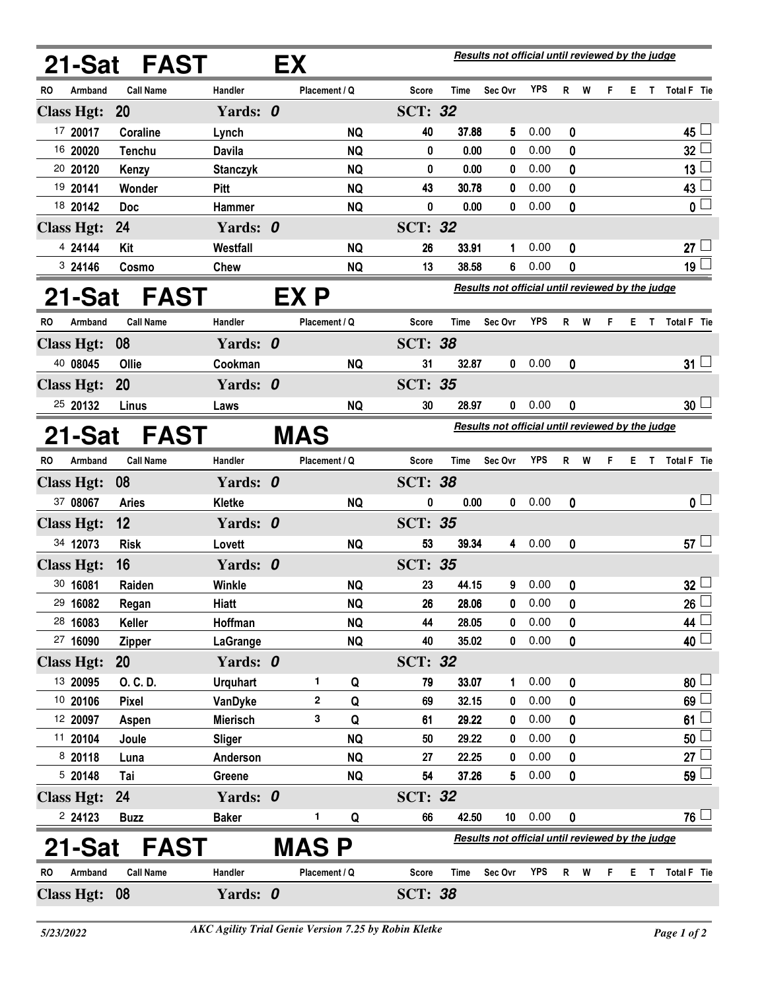|                      | 21-Sat FAST      |                 | EX          |               |           |                | Results not official until reviewed by the judge |                                                  |            |    |   |   |    |              |                       |  |  |
|----------------------|------------------|-----------------|-------------|---------------|-----------|----------------|--------------------------------------------------|--------------------------------------------------|------------|----|---|---|----|--------------|-----------------------|--|--|
| <b>RO</b><br>Armband | <b>Call Name</b> | Handler         |             | Placement / Q |           | <b>Score</b>   | <b>Time</b>                                      | Sec Ovr                                          | YPS        | R  | W | F | Е  | $\mathsf{T}$ | Total F Tie           |  |  |
| <b>Class Hgt:</b>    | 20               | Yards: 0        |             |               |           | <b>SCT: 32</b> |                                                  |                                                  |            |    |   |   |    |              |                       |  |  |
| 17 20017             | Coraline         | Lynch           |             |               | <b>NQ</b> | 40             | 37.88                                            | 5                                                | 0.00       | 0  |   |   |    |              | 45                    |  |  |
| 16 20020             | <b>Tenchu</b>    | <b>Davila</b>   |             |               | <b>NQ</b> | 0              | 0.00                                             | 0                                                | 0.00       | 0  |   |   |    |              | 32 <sub>2</sub>       |  |  |
| 20 20120             | Kenzy            | <b>Stanczyk</b> |             |               | <b>NQ</b> | 0              | 0.00                                             | 0                                                | 0.00       | 0  |   |   |    |              | 13                    |  |  |
| 19 20141             | Wonder           | <b>Pitt</b>     |             |               | <b>NQ</b> | 43             | 30.78                                            | 0                                                | 0.00       | 0  |   |   |    |              | 43                    |  |  |
| 18 20142             | <b>Doc</b>       | Hammer          |             |               | <b>NQ</b> | 0              | 0.00                                             | 0                                                | 0.00       | 0  |   |   |    |              | $\mathbf{0}$          |  |  |
| <b>Class Hgt:</b>    | 24               | Yards: 0        |             |               |           | <b>SCT: 32</b> |                                                  |                                                  |            |    |   |   |    |              |                       |  |  |
| 4 24144              | Kit              | Westfall        |             |               | <b>NQ</b> | 26             | 33.91                                            | 1                                                | 0.00       | 0  |   |   |    |              | 27 $\lfloor$          |  |  |
| 3 24146              | Cosmo            | Chew            |             |               | <b>NQ</b> | 13             | 38.58                                            | 6                                                | 0.00       | 0  |   |   |    |              | 19                    |  |  |
| 21-Sat               | <b>FAST</b>      |                 |             | EX P          |           |                |                                                  | Results not official until reviewed by the judge |            |    |   |   |    |              |                       |  |  |
| RO.<br>Armband       | <b>Call Name</b> | Handler         |             | Placement / Q |           | Score          | Time                                             | Sec Ovr                                          | <b>YPS</b> | R  | W | F | Е. | T            | Total F Tie           |  |  |
| <b>Class Hgt:</b>    | 08               | Yards: 0        |             |               |           | <b>SCT: 38</b> |                                                  |                                                  |            |    |   |   |    |              |                       |  |  |
| 40 08045             | Ollie            | Cookman         |             |               | <b>NQ</b> | 31             | 32.87                                            | 0                                                | 0.00       | 0  |   |   |    |              | $31 -$                |  |  |
| <b>Class Hgt:</b>    | 20               | Yards: 0        |             |               |           | <b>SCT: 35</b> |                                                  |                                                  |            |    |   |   |    |              |                       |  |  |
| 25 20132             | Linus            | Laws            |             |               | <b>NQ</b> | 30             | 28.97                                            | 0                                                | 0.00       | 0  |   |   |    |              | $30\perp$             |  |  |
|                      |                  |                 |             |               |           |                |                                                  | Results not official until reviewed by the judge |            |    |   |   |    |              |                       |  |  |
| 21-Sat               | <b>FAST</b>      |                 | <b>MAS</b>  |               |           |                |                                                  |                                                  |            |    |   |   |    |              |                       |  |  |
| <b>RO</b><br>Armband | <b>Call Name</b> | Handler         |             | Placement / Q |           | Score          | Time                                             | Sec Ovr                                          | YPS        | R  | W | F | E. | T            | <b>Total F</b> Tie    |  |  |
| <b>Class Hgt:</b>    | 08               | Yards: 0        |             |               |           | <b>SCT: 38</b> |                                                  |                                                  |            |    |   |   |    |              |                       |  |  |
| 37 08067             | <b>Aries</b>     | Kletke          |             |               | <b>NQ</b> | 0              | 0.00                                             | 0                                                | 0.00       | 0  |   |   |    |              | $\mathfrak{o} \sqcup$ |  |  |
| <b>Class Hgt:</b>    | 12               | Yards: 0        |             |               |           | <b>SCT: 35</b> |                                                  |                                                  |            |    |   |   |    |              |                       |  |  |
| 34 12073             | <b>Risk</b>      | Lovett          |             |               | <b>NQ</b> | 53             | 39.34                                            | 4                                                | 0.00       | 0  |   |   |    |              | $57 \Box$             |  |  |
| <b>Class Hgt:</b>    | 16               | Yards: 0        |             |               |           | <b>SCT: 35</b> |                                                  |                                                  |            |    |   |   |    |              |                       |  |  |
| 30 16081             | Raiden           | <b>Winkle</b>   |             |               | <b>NQ</b> | 23             | 44.15                                            | 9                                                | 0.00       | 0  |   |   |    |              | $32\perp$             |  |  |
| 29 16082             | Regan            | <b>Hiatt</b>    |             |               | <b>NQ</b> | 26             | 28.06                                            | 0                                                | 0.00       | 0  |   |   |    |              | $\overline{26}$       |  |  |
| 28 16083             | Keller           | Hoffman         |             |               | <b>NQ</b> | 44             | 28.05                                            | 0                                                | 0.00       | 0  |   |   |    |              | 44 $\lfloor$          |  |  |
| 27 16090             | <b>Zipper</b>    | LaGrange        |             |               | <b>NQ</b> | 40             | 35.02                                            | 0                                                | 0.00       | 0  |   |   |    |              | 40 <sup>2</sup>       |  |  |
| <b>Class Hgt:</b>    | 20               | Yards: 0        |             |               |           | <b>SCT: 32</b> |                                                  |                                                  |            |    |   |   |    |              |                       |  |  |
| 13 20095             | O. C. D.         | <b>Urquhart</b> |             | 1             | Q         | 79             | 33.07                                            | 1                                                | 0.00       | 0  |   |   |    |              | 80 <sup>1</sup>       |  |  |
| 10 20106             | Pixel            | VanDyke         |             | 2             | Q         | 69             | 32.15                                            | 0                                                | 0.00       | 0  |   |   |    |              | 69                    |  |  |
| 12 20097             | Aspen            | <b>Mierisch</b> |             | 3             | Q         | 61             | 29.22                                            | 0                                                | 0.00       | 0  |   |   |    |              | 61                    |  |  |
| 11 20104             | Joule            | <b>Sliger</b>   |             |               | <b>NQ</b> | 50             | 29.22                                            | 0                                                | 0.00       | 0  |   |   |    |              | 50                    |  |  |
| 8 20118              | Luna             | Anderson        |             |               | <b>NQ</b> | 27             | 22.25                                            | 0                                                | 0.00       | 0  |   |   |    |              | 27 $\mathsf{L}$       |  |  |
| 5 20148              | Tai              | Greene          |             |               | <b>NQ</b> | 54             | 37.26                                            | 5                                                | 0.00       | 0  |   |   |    |              | 59 <sup>°</sup>       |  |  |
| <b>Class Hgt:</b>    | 24               | Yards: 0        |             |               |           | <b>SCT: 32</b> |                                                  |                                                  |            |    |   |   |    |              |                       |  |  |
| 224123               | <b>Buzz</b>      | <b>Baker</b>    |             | 1             | Q         | 66             | 42.50                                            | 10                                               | 0.00       | 0  |   |   |    |              | 76 └                  |  |  |
| 21-Sat               | <b>FAST</b>      |                 | <b>MASP</b> |               |           |                |                                                  | Results not official until reviewed by the judge |            |    |   |   |    |              |                       |  |  |
| <b>RO</b><br>Armband | <b>Call Name</b> | Handler         |             | Placement / Q |           | <b>Score</b>   | Time                                             | Sec Ovr                                          | YPS        | R. | W | F | Е. | T            | Total F Tie           |  |  |
| <b>Class Hgt:</b>    | - 08             | Yards: 0        |             |               |           | <b>SCT: 38</b> |                                                  |                                                  |            |    |   |   |    |              |                       |  |  |